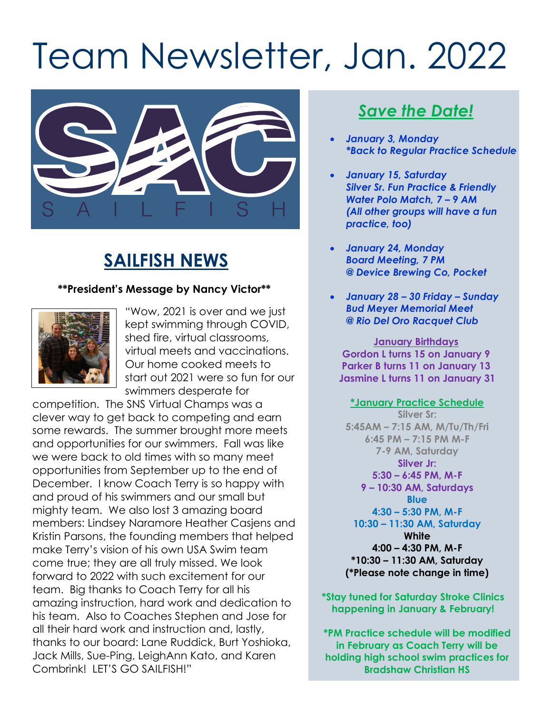# Team Newsletter, Jan. 2022



## **SAILFISH NEWS**

#### **\*\*President's Message by Nancy Victor\*\***



"Wow, 2021 is over and we just kept swimming through COVID, shed fire, virtual classrooms, virtual meets and vaccinations. Our home cooked meets to start out 2021 were so fun for our swimmers desperate for

competition. The SNS Virtual Champs was a clever way to get back to competing and earn some rewards. The summer brought more meets and opportunities for our swimmers. Fall was like we were back to old times with so many meet opportunities from September up to the end of December. I know Coach Terry is so happy with and proud of his swimmers and our small but mighty team. We also lost 3 amazing board members: Lindsey Naramore Heather Casjens and Kristin Parsons, the founding members that helped make Terry's vision of his own USA Swim team come true; they are all truly missed. We look forward to 2022 with such excitement for our team. Big thanks to Coach Terry for all his amazing instruction, hard work and dedication to his team. Also to Coaches Stephen and Jose for all their hard work and instruction and, lastly, thanks to our board: Lane Ruddick, Burt Yoshioka, Jack Mills, Sue-Ping, LeighAnn Kato, and Karen Combrink! LET'S GO SAILFISH!"

### *Save the Date!*

- *January 3, Monday \*Back to Regular Practice Schedule*
- *January 15, Saturday Silver Sr. Fun Practice & Friendly Water Polo Match, 7 – 9 AM (All other groups will have a fun practice, too)*
- *January 24, Monday Board Meeting, 7 PM @ Device Brewing Co, Pocket*
- *January 28 – 30 Friday – Sunday Bud Meyer Memorial Meet @ Rio Del Oro Racquet Club*

**January Birthdays Gordon L turns 15 on January 9 Parker B turns 11 on January 13 Jasmine L turns 11 on January 31**

**\*January Practice Schedule Silver Sr: 5:45AM – 7:15 AM, M/Tu/Th/Fri 6:45 PM – 7:15 PM M-F 7-9 AM, Saturday Silver Jr: 5:30 – 6:45 PM, M-F 9 – 10:30 AM, Saturdays Blue 4:30 – 5:30 PM, M-F 10:30 – 11:30 AM, Saturday White 4:00 – 4:30 PM, M-F \*10:30 – 11:30 AM, Saturday (\*Please note change in time)**

**\*Stay tuned for Saturday Stroke Clinics happening in January & February!**

**\*PM Practice schedule will be modified in February as Coach Terry will be holding high school swim practices for Bradshaw Christian HS**